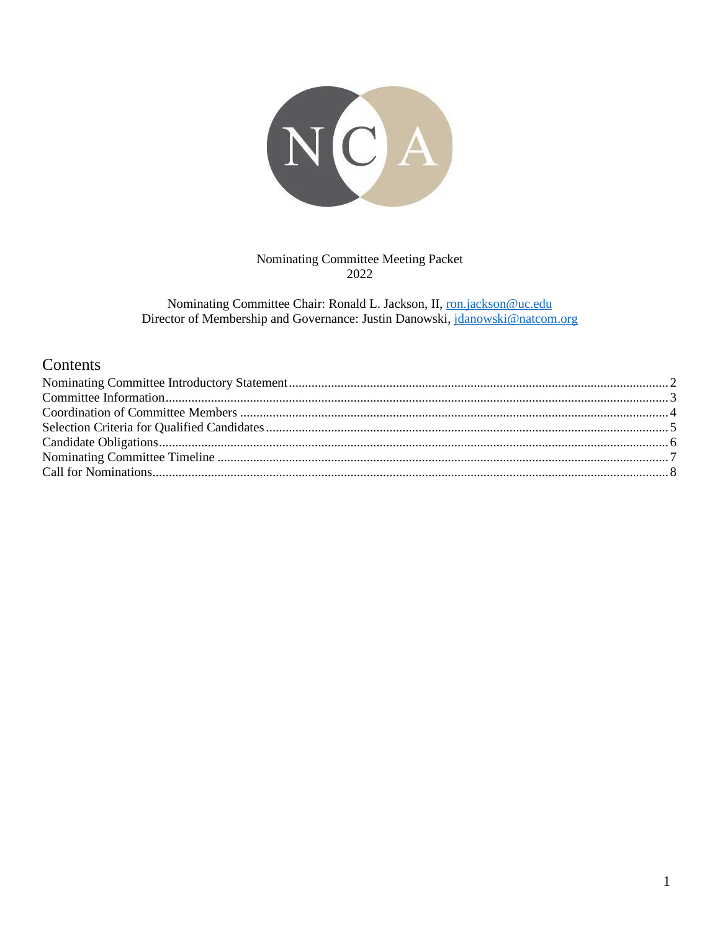

Nominating Committee Meeting Packet 2022

Nominating Committee Chair: Ronald L. Jackson, II, ron.jackson@uc.edu Director of Membership and Governance: Justin Danowski, jdanowski@natcom.org

### Contents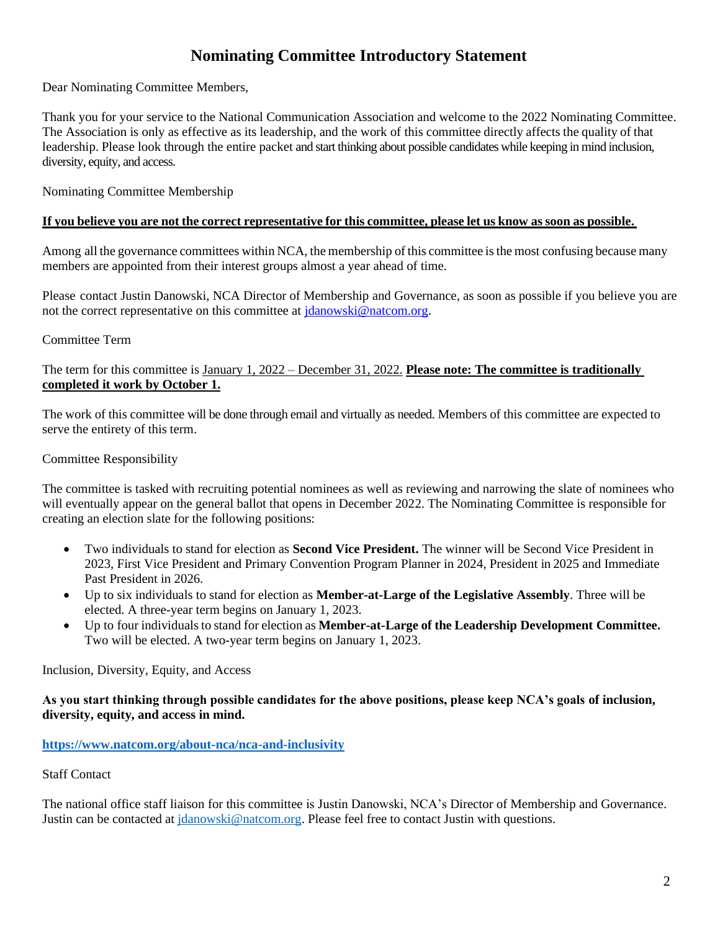# **Nominating Committee Introductory Statement**

<span id="page-1-0"></span>Dear Nominating Committee Members,

Thank you for your service to the National Communication Association and welcome to the 2022 Nominating Committee. The Association is only as effective as its leadership, and the work of this committee directly affects the quality of that leadership. Please look through the entire packet and start thinking about possible candidates while keeping in mind inclusion, diversity, equity, and access.

Nominating Committee Membership

#### If you believe you are not the correct representative for this committee, please let us know as soon as possible.

Among all the governance committees within NCA, the membership of this committee is the most confusing because many members are appointed from their interest groups almost a year ahead of time.

Please contact Justin Danowski, NCA Director of Membership and Governance, as soon as possible if you believe you are not the correct representative on this committee at [jdanowski@natcom.org.](mailto:jdanowski@natcom.org)

### Committee Term

### The term for this committee is January 1, 2022 – December 31, 2022. **Please note: The committee is traditionally completed it work by October 1.**

The work of this committee will be done through email and virtually as needed. Members of this committee are expected to serve the entirety of this term.

#### Committee Responsibility

The committee is tasked with recruiting potential nominees as well as reviewing and narrowing the slate of nominees who will eventually appear on the general ballot that opens in December 2022. The Nominating Committee is responsible for creating an election slate for the following positions:

- Two individuals to stand for election as **Second Vice President.** The winner will be Second Vice President in 2023, First Vice President and Primary Convention Program Planner in 2024, President in 2025 and Immediate Past President in 2026.
- Up to six individuals to stand for election as **Member-at-Large of the Legislative Assembly**. Three will be elected. A three-year term begins on January 1, 2023.
- Up to four individualsto stand for election as **Member-at-Large of the Leadership Development Committee.**  Two will be elected. A two-year term begins on January 1, 2023.

Inclusion, Diversity, Equity, and Access

#### **As you start thinking through possible candidates for the above positions, please keep NCA's goals of inclusion, diversity, equity, and access in mind.**

#### **<https://www.natcom.org/about-nca/nca-and-inclusivity>**

#### Staff Contact

The national office staff liaison for this committee is Justin Danowski, NCA's Director of Membership and Governance. Justin can be contacted at [jdanowski@natcom.org.](mailto:jdanowski@natcom.org) Please feel free to contact Justin with questions.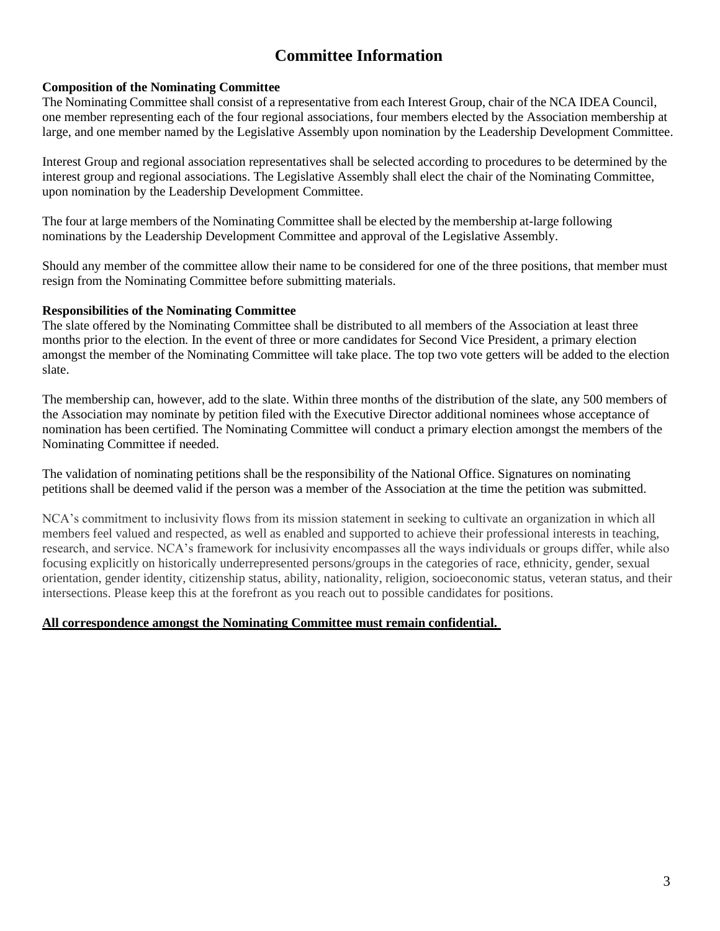# **Committee Information**

### <span id="page-2-0"></span>**Composition of the Nominating Committee**

The Nominating Committee shall consist of a representative from each Interest Group, chair of the NCA IDEA Council, one member representing each of the four regional associations, four members elected by the Association membership at large, and one member named by the Legislative Assembly upon nomination by the Leadership Development Committee.

Interest Group and regional association representatives shall be selected according to procedures to be determined by the interest group and regional associations. The Legislative Assembly shall elect the chair of the Nominating Committee, upon nomination by the Leadership Development Committee.

The four at large members of the Nominating Committee shall be elected by the membership at-large following nominations by the Leadership Development Committee and approval of the Legislative Assembly.

Should any member of the committee allow their name to be considered for one of the three positions, that member must resign from the Nominating Committee before submitting materials.

#### **Responsibilities of the Nominating Committee**

The slate offered by the Nominating Committee shall be distributed to all members of the Association at least three months prior to the election. In the event of three or more candidates for Second Vice President, a primary election amongst the member of the Nominating Committee will take place. The top two vote getters will be added to the election slate.

The membership can, however, add to the slate. Within three months of the distribution of the slate, any 500 members of the Association may nominate by petition filed with the Executive Director additional nominees whose acceptance of nomination has been certified. The Nominating Committee will conduct a primary election amongst the members of the Nominating Committee if needed.

The validation of nominating petitions shall be the responsibility of the National Office. Signatures on nominating petitions shall be deemed valid if the person was a member of the Association at the time the petition was submitted.

NCA's commitment to inclusivity flows from its mission statement in seeking to cultivate an organization in which all members feel valued and respected, as well as enabled and supported to achieve their professional interests in teaching, research, and service. NCA's framework for inclusivity encompasses all the ways individuals or groups differ, while also focusing explicitly on historically underrepresented persons/groups in the categories of race, ethnicity, gender, sexual orientation, gender identity, citizenship status, ability, nationality, religion, socioeconomic status, veteran status, and their intersections. Please keep this at the forefront as you reach out to possible candidates for positions.

#### **All correspondence amongst the Nominating Committee must remain confidential.**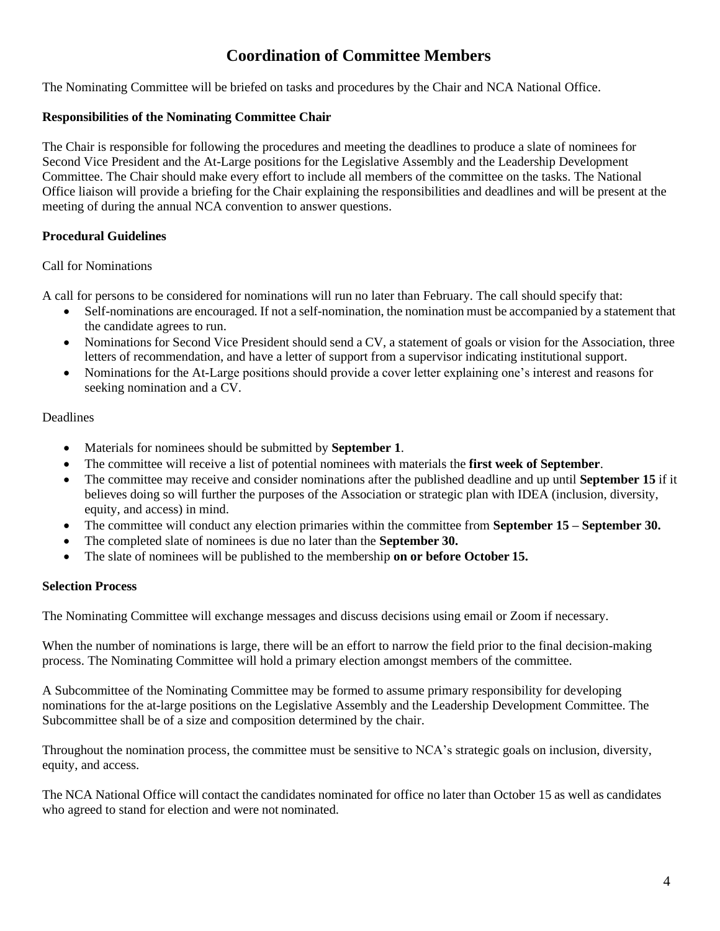## **Coordination of Committee Members**

<span id="page-3-0"></span>The Nominating Committee will be briefed on tasks and procedures by the Chair and NCA National Office.

#### **Responsibilities of the Nominating Committee Chair**

The Chair is responsible for following the procedures and meeting the deadlines to produce a slate of nominees for Second Vice President and the At-Large positions for the Legislative Assembly and the Leadership Development Committee. The Chair should make every effort to include all members of the committee on the tasks. The National Office liaison will provide a briefing for the Chair explaining the responsibilities and deadlines and will be present at the meeting of during the annual NCA convention to answer questions.

#### **Procedural Guidelines**

#### Call for Nominations

A call for persons to be considered for nominations will run no later than February. The call should specify that:

- Self-nominations are encouraged. If not a self-nomination, the nomination must be accompanied by a statement that the candidate agrees to run.
- Nominations for Second Vice President should send a CV, a statement of goals or vision for the Association, three letters of recommendation, and have a letter of support from a supervisor indicating institutional support.
- Nominations for the At-Large positions should provide a cover letter explaining one's interest and reasons for seeking nomination and a CV.

#### **Deadlines**

- Materials for nominees should be submitted by **September 1**.
- The committee will receive a list of potential nominees with materials the **first week of September**.
- The committee may receive and consider nominations after the published deadline and up until **September 15** if it believes doing so will further the purposes of the Association or strategic plan with IDEA (inclusion, diversity, equity, and access) in mind.
- The committee will conduct any election primaries within the committee from **September 15 – September 30.**
- The completed slate of nominees is due no later than the **September 30.**
- The slate of nominees will be published to the membership **on or before October 15.**

#### **Selection Process**

The Nominating Committee will exchange messages and discuss decisions using email or Zoom if necessary.

When the number of nominations is large, there will be an effort to narrow the field prior to the final decision-making process. The Nominating Committee will hold a primary election amongst members of the committee.

A Subcommittee of the Nominating Committee may be formed to assume primary responsibility for developing nominations for the at-large positions on the Legislative Assembly and the Leadership Development Committee. The Subcommittee shall be of a size and composition determined by the chair.

Throughout the nomination process, the committee must be sensitive to NCA's strategic goals on inclusion, diversity, equity, and access.

The NCA National Office will contact the candidates nominated for office no later than October 15 as well as candidates who agreed to stand for election and were not nominated.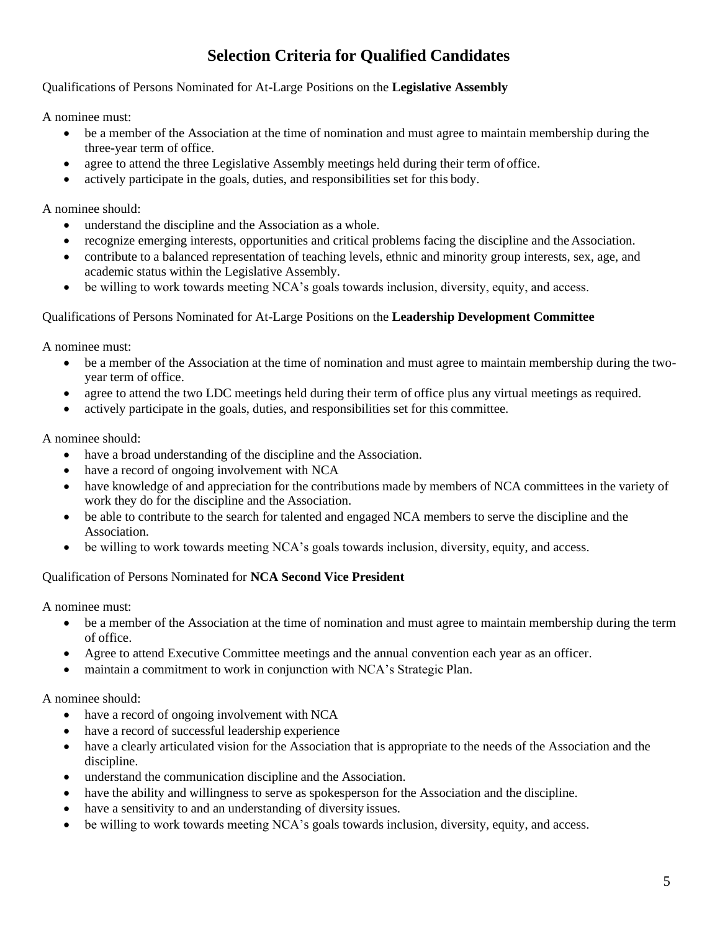# **Selection Criteria for Qualified Candidates**

<span id="page-4-0"></span>Qualifications of Persons Nominated for At-Large Positions on the **Legislative Assembly**

A nominee must:

- be a member of the Association at the time of nomination and must agree to maintain membership during the three-year term of office.
- agree to attend the three Legislative Assembly meetings held during their term of office.
- actively participate in the goals, duties, and responsibilities set for this body.

A nominee should:

- understand the discipline and the Association as a whole.
- recognize emerging interests, opportunities and critical problems facing the discipline and the Association.
- contribute to a balanced representation of teaching levels, ethnic and minority group interests, sex, age, and academic status within the Legislative Assembly.
- be willing to work towards meeting NCA's goals towards inclusion, diversity, equity, and access.

### Qualifications of Persons Nominated for At-Large Positions on the **Leadership Development Committee**

A nominee must:

- be a member of the Association at the time of nomination and must agree to maintain membership during the twoyear term of office.
- agree to attend the two LDC meetings held during their term of office plus any virtual meetings as required.
- actively participate in the goals, duties, and responsibilities set for this committee.

A nominee should:

- have a broad understanding of the discipline and the Association.
- have a record of ongoing involvement with NCA
- have knowledge of and appreciation for the contributions made by members of NCA committees in the variety of work they do for the discipline and the Association.
- be able to contribute to the search for talented and engaged NCA members to serve the discipline and the Association.
- be willing to work towards meeting NCA's goals towards inclusion, diversity, equity, and access.

### Qualification of Persons Nominated for **NCA Second Vice President**

A nominee must:

- be a member of the Association at the time of nomination and must agree to maintain membership during the term of office.
- Agree to attend Executive Committee meetings and the annual convention each year as an officer.
- maintain a commitment to work in conjunction with NCA's Strategic Plan.

A nominee should:

- have a record of ongoing involvement with NCA
- have a record of successful leadership experience
- have a clearly articulated vision for the Association that is appropriate to the needs of the Association and the discipline.
- understand the communication discipline and the Association.
- have the ability and willingness to serve as spokesperson for the Association and the discipline.
- have a sensitivity to and an understanding of diversity issues.
- be willing to work towards meeting NCA's goals towards inclusion, diversity, equity, and access.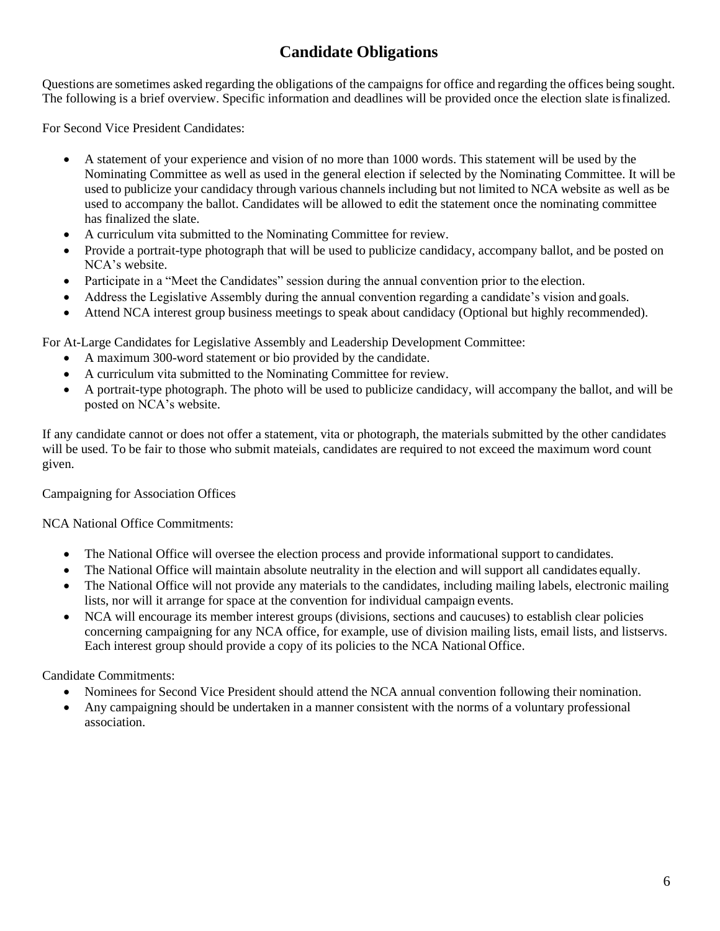# **Candidate Obligations**

<span id="page-5-0"></span>Questions are sometimes asked regarding the obligations of the campaigns for office and regarding the offices being sought. The following is a brief overview. Specific information and deadlines will be provided once the election slate isfinalized.

For Second Vice President Candidates:

- A statement of your experience and vision of no more than 1000 words. This statement will be used by the Nominating Committee as well as used in the general election if selected by the Nominating Committee. It will be used to publicize your candidacy through various channels including but not limited to NCA website as well as be used to accompany the ballot. Candidates will be allowed to edit the statement once the nominating committee has finalized the slate.
- A curriculum vita submitted to the Nominating Committee for review.
- Provide a portrait-type photograph that will be used to publicize candidacy, accompany ballot, and be posted on NCA's website.
- Participate in a "Meet the Candidates" session during the annual convention prior to the election.
- Address the Legislative Assembly during the annual convention regarding a candidate's vision and goals.
- Attend NCA interest group business meetings to speak about candidacy (Optional but highly recommended).

For At-Large Candidates for Legislative Assembly and Leadership Development Committee:

- A maximum 300-word statement or bio provided by the candidate.
- A curriculum vita submitted to the Nominating Committee for review.
- A portrait-type photograph. The photo will be used to publicize candidacy, will accompany the ballot, and will be posted on NCA's website.

If any candidate cannot or does not offer a statement, vita or photograph, the materials submitted by the other candidates will be used. To be fair to those who submit mateials, candidates are required to not exceed the maximum word count given.

Campaigning for Association Offices

NCA National Office Commitments:

- The National Office will oversee the election process and provide informational support to candidates.
- The National Office will maintain absolute neutrality in the election and will support all candidates equally.
- The National Office will not provide any materials to the candidates, including mailing labels, electronic mailing lists, nor will it arrange for space at the convention for individual campaign events.
- NCA will encourage its member interest groups (divisions, sections and caucuses) to establish clear policies concerning campaigning for any NCA office, for example, use of division mailing lists, email lists, and listservs. Each interest group should provide a copy of its policies to the NCA National Office.

Candidate Commitments:

- Nominees for Second Vice President should attend the NCA annual convention following their nomination.
- Any campaigning should be undertaken in a manner consistent with the norms of a voluntary professional association.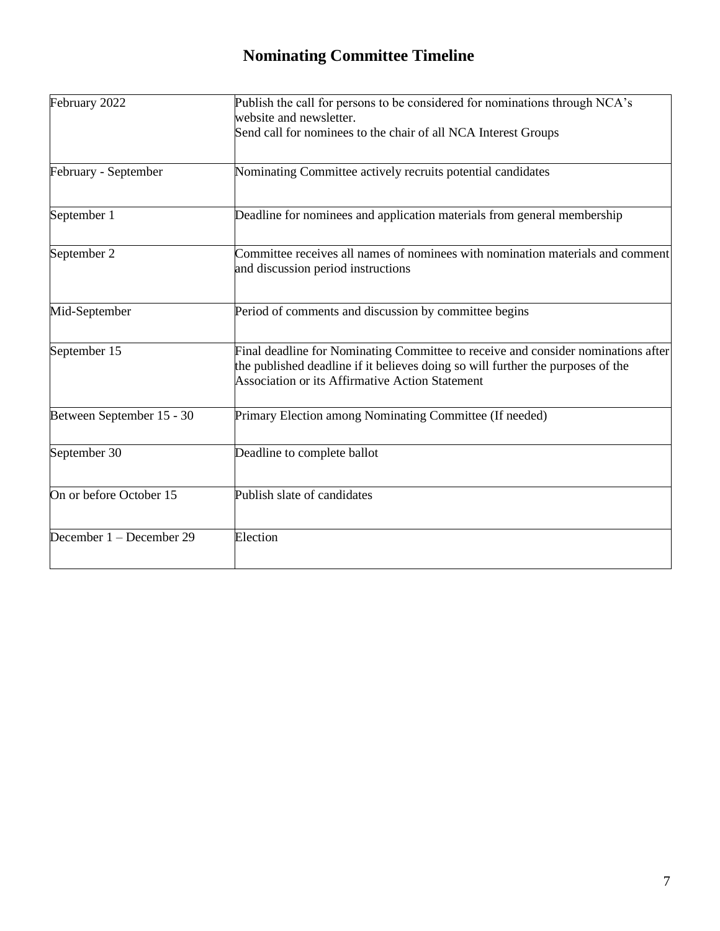# **Nominating Committee Timeline**

<span id="page-6-0"></span>

| Publish the call for persons to be considered for nominations through NCA's                                                                                                                                             |
|-------------------------------------------------------------------------------------------------------------------------------------------------------------------------------------------------------------------------|
| website and newsletter.                                                                                                                                                                                                 |
| Send call for nominees to the chair of all NCA Interest Groups                                                                                                                                                          |
| Nominating Committee actively recruits potential candidates                                                                                                                                                             |
| Deadline for nominees and application materials from general membership                                                                                                                                                 |
| Committee receives all names of nominees with nomination materials and comment<br>and discussion period instructions                                                                                                    |
| Period of comments and discussion by committee begins                                                                                                                                                                   |
| Final deadline for Nominating Committee to receive and consider nominations after<br>the published deadline if it believes doing so will further the purposes of the<br>Association or its Affirmative Action Statement |
| Primary Election among Nominating Committee (If needed)                                                                                                                                                                 |
| Deadline to complete ballot                                                                                                                                                                                             |
| Publish slate of candidates                                                                                                                                                                                             |
| Election                                                                                                                                                                                                                |
|                                                                                                                                                                                                                         |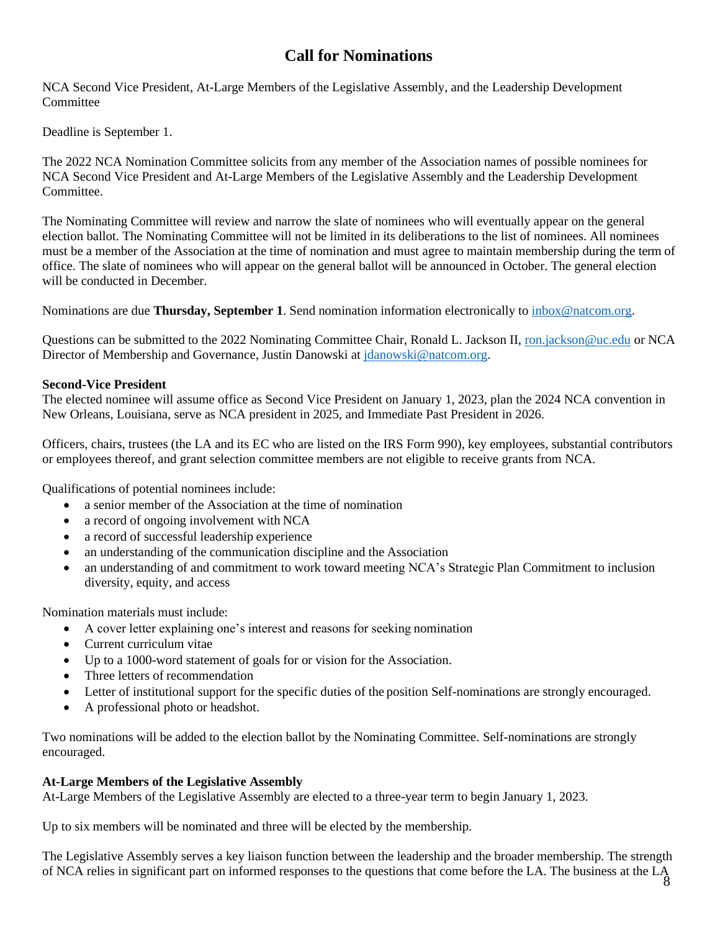## **Call for Nominations**

<span id="page-7-0"></span>NCA Second Vice President, At-Large Members of the Legislative Assembly, and the Leadership Development **Committee** 

Deadline is September 1.

The 2022 NCA Nomination Committee solicits from any member of the Association names of possible nominees for NCA Second Vice President and At-Large Members of the Legislative Assembly and the Leadership Development Committee.

The Nominating Committee will review and narrow the slate of nominees who will eventually appear on the general election ballot. The Nominating Committee will not be limited in its deliberations to the list of nominees. All nominees must be a member of the Association at the time of nomination and must agree to maintain membership during the term of office. The slate of nominees who will appear on the general ballot will be announced in October. The general election will be conducted in December.

Nominations are due **Thursday, September 1**. Send nomination information electronically to [inbox@natcom.org.](mailto:inbox@natcom.org)

Questions can be submitted to the 2022 Nominating Committee Chair, Ronald L. Jackson II, [ron.jackson@uc.edu](mailto:ron.jackson@uc.edu) or NCA Director of Membership and Governance, Justin Danowski at [jdanowski@natcom.org.](mailto:jdanowski@natcom.org)

### **Second-Vice President**

The elected nominee will assume office as Second Vice President on January 1, 2023, plan the 2024 NCA convention in New Orleans, Louisiana, serve as NCA president in 2025, and Immediate Past President in 2026.

Officers, chairs, trustees (the LA and its EC who are listed on the IRS Form 990), key employees, substantial contributors or employees thereof, and grant selection committee members are not eligible to receive grants from NCA.

Qualifications of potential nominees include:

- a senior member of the Association at the time of nomination
- a record of ongoing involvement with NCA
- a record of successful leadership experience
- an understanding of the communication discipline and the Association
- an understanding of and commitment to work toward meeting NCA's Strategic Plan Commitment to inclusion diversity, equity, and access

Nomination materials must include:

- A cover letter explaining one's interest and reasons for seeking nomination
- Current curriculum vitae
- Up to a 1000-word statement of goals for or vision for the Association.
- Three letters of recommendation
- Letter of institutional support for the specific duties of the position Self-nominations are strongly encouraged.
- A professional photo or headshot.

Two nominations will be added to the election ballot by the Nominating Committee. Self-nominations are strongly encouraged.

### **At-Large Members of the Legislative Assembly**

At-Large Members of the Legislative Assembly are elected to a three-year term to begin January 1, 2023.

Up to six members will be nominated and three will be elected by the membership.

The Legislative Assembly serves a key liaison function between the leadership and the broader membership. The strength of NCA relies in significant part on informed responses to the questions that come before the LA. The business at the LA